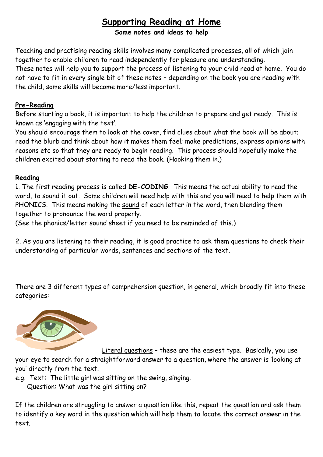## **Supporting Reading at Home Some notes and ideas to help**

Teaching and practising reading skills involves many complicated processes, all of which join together to enable children to read independently for pleasure and understanding. These notes will help you to support the process of listening to your child read at home. You do not have to fit in every single bit of these notes – depending on the book you are reading with the child, some skills will become more/less important.

## **Pre-Reading**

Before starting a book, it is important to help the children to prepare and get ready. This is known as 'engaging with the text'.

You should encourage them to look at the cover, find clues about what the book will be about; read the blurb and think about how it makes them feel; make predictions, express opinions with reasons etc so that they are ready to begin reading. This process should hopefully make the children excited about starting to read the book. (Hooking them in.)

## **Reading**

1. The first reading process is called **DE-CODING**. This means the actual ability to read the word, to sound it out. Some children will need help with this and you will need to help them with PHONICS. This means making the sound of each letter in the word, then blending them together to pronounce the word properly.

(See the phonics/letter sound sheet if you need to be reminded of this.)

2. As you are listening to their reading, it is good practice to ask them questions to check their understanding of particular words, sentences and sections of the text.

There are 3 different types of comprehension question, in general, which broadly fit into these categories:



 Literal questions – these are the easiest type. Basically, you use your eye to search for a straightforward answer to a question, where the answer is 'looking at you' directly from the text.

e.g. Text: The little girl was sitting on the swing, singing.

Question: What was the girl sitting on?

If the children are struggling to answer a question like this, repeat the question and ask them to identify a key word in the question which will help them to locate the correct answer in the text.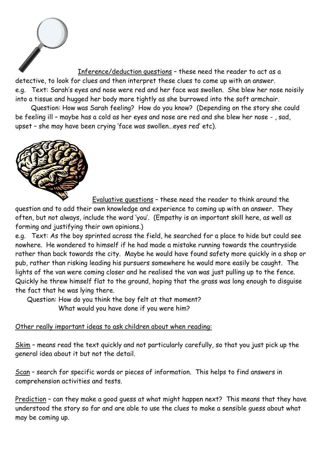

 Inference/deduction questions – these need the reader to act as a detective, to look for clues and then interpret these clues to come up with an answer. e.g. Text: Sarah's eyes and nose were red and her face was swollen. She blew her nose noisily into a tissue and hugged her body more tightly as she burrowed into the soft armchair.

 Question: How was Sarah feeling? How do you know? (Depending on the story she could be feeling ill – maybe has a cold as her eyes and nose are red and she blew her nose - , sad, upset – she may have been crying 'face was swollen…eyes red' etc).



 Evaluative questions – these need the reader to think around the question and to add their own knowledge and experience to coming up with an answer. They often, but not always, include the word 'you'. (Empathy is an important skill here, as well as forming and justifying their own opinions.)

e.g. Text: As the boy sprinted across the field, he searched for a place to hide but could see nowhere. He wondered to himself if he had made a mistake running towards the countryside rather than back towards the city. Maybe he would have found safety more quickly in a shop or pub, rather than risking leading his pursuers somewhere he would more easily be caught. The lights of the van were coming closer and he realised the van was just pulling up to the fence. Quickly he threw himself flat to the ground, hoping that the grass was long enough to disguise the fact that he was lying there.

 Question: How do you think the boy felt at that moment? What would you have done if you were him?

## Other really important ideas to ask children about when reading:

Skim - means read the text quickly and not particularly carefully, so that you just pick up the general idea about it but not the detail.

Scan – search for specific words or pieces of information. This helps to find answers in comprehension activities and tests.

Prediction - can they make a good guess at what might happen next? This means that they have understood the story so far and are able to use the clues to make a sensible guess about what may be coming up.